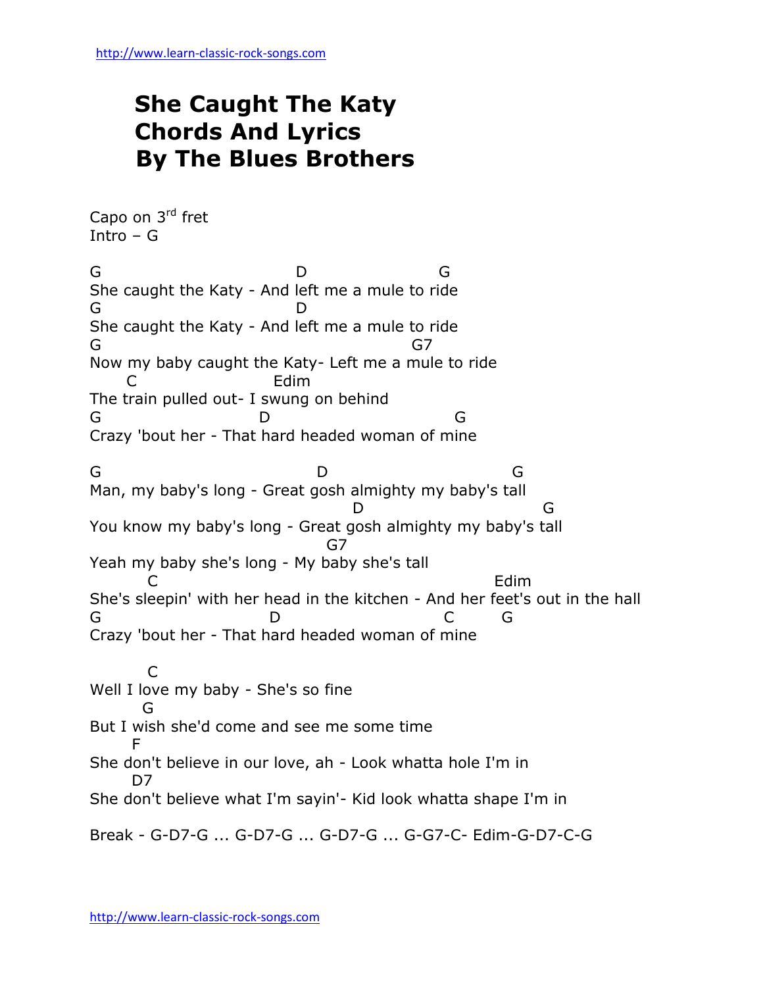## **She Caught The Katy Chords And Lyrics By The Blues Brothers**

Capo on 3rd fret Intro – G G D G She caught the Katy - And left me a mule to ride G D She caught the Katy - And left me a mule to ride G<sup>2</sup> G<sup>7</sup> Now my baby caught the Katy- Left me a mule to ride Edim The train pulled out- I swung on behind G D G Crazy 'bout her - That hard headed woman of mine G D G Man, my baby's long - Great gosh almighty my baby's tall D G You know my baby's long - Great gosh almighty my baby's tall graduate and the Gaussian G7 Yeah my baby she's long - My baby she's tall **C** Edim She's sleepin' with her head in the kitchen - And her feet's out in the hall G D C G Crazy 'bout her - That hard headed woman of mine C Well I love my baby - She's so fine **G** But I wish she'd come and see me some time **F** She don't believe in our love, ah - Look whatta hole I'm in D<sub>7</sub> She don't believe what I'm sayin'- Kid look whatta shape I'm in Break - G-D7-G ... G-D7-G ... G-D7-G ... G-G7-C- Edim-G-D7-C-G